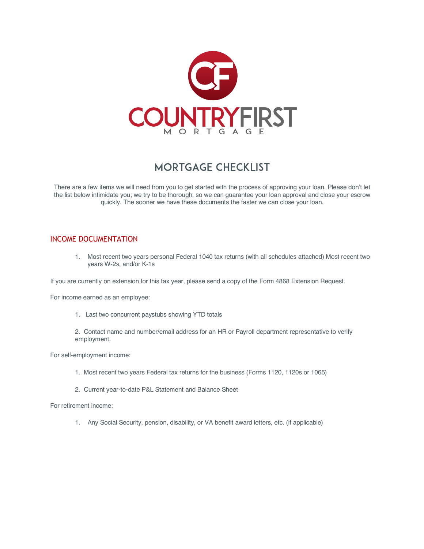

## Mortgage Checklist

There are a few items we will need from you to get started with the process of approving your loan. Please don't let the list below intimidate you; we try to be thorough, so we can guarantee your loan approval and close your escrow quickly. The sooner we have these documents the faster we can close your loan.

## INCOME DOCUMENTATION

1. Most recent two years personal Federal 1040 tax returns (with all schedules attached) Most recent two years W-2s, and/or K-1s

If you are currently on extension for this tax year, please send a copy of the Form 4868 Extension Request.

For income earned as an employee:

1. Last two concurrent paystubs showing YTD totals

2. Contact name and number/email address for an HR or Payroll department representative to verify employment.

For self-employment income:

- 1. Most recent two years Federal tax returns for the business (Forms 1120, 1120s or 1065)
- 2. Current year-to-date P&L Statement and Balance Sheet

For retirement income:

1. Any Social Security, pension, disability, or VA benefit award letters, etc. (if applicable)